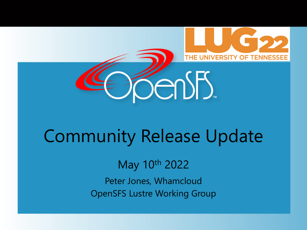



# Community Release Update

May 10th 2022

Peter Jones, Whamcloud OpenSFS Lustre Working Group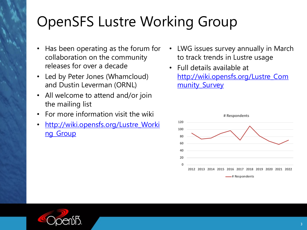# OpenSFS Lustre Workin

| • Has been operating as the forum for<br>collaboration on the community<br>releases for over a decade | $\bullet$ | LV<br>td<br>Fu         |  |
|-------------------------------------------------------------------------------------------------------|-----------|------------------------|--|
| • Led by Peter Jones (Whamcloud)<br>and Dustin Leverman (ORNL)                                        |           | ht<br>m                |  |
| • All welcome to attend and/or join<br>the mailing list                                               |           |                        |  |
| • For more information visit the wiki                                                                 |           |                        |  |
| · http://wiki.opensfs.org/Lustre_Worki<br>ng Group                                                    |           | 120<br>100<br>80<br>60 |  |
|                                                                                                       |           |                        |  |

- **20**
- 
- **0**

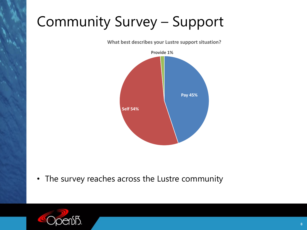## Community Survey – Support

**What best describes your Lustre support situation?**



• The survey reaches across the Lustre community

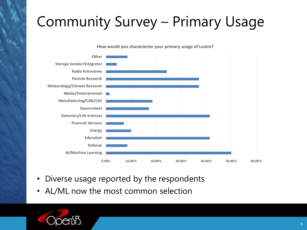## Community Survey – Primary Usage

**How would you characterize your primary usage of Lustre?**



- Diverse usage reported by the respondents
- AL/ML now the most common selection

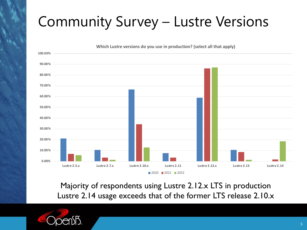# Community Survey – Lustre Versions



Majority of respondents using Lustre 2.12.x LTS in production Lustre 2.14 usage exceeds that of the former LTS release 2.10.x

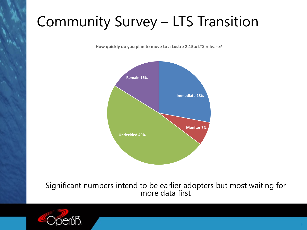#### Community Survey – LTS Transition

**How quickly do you plan to move to a Lustre 2.15.x LTS release?**



Significant numbers intend to be earlier adopters but most waiting for more data first

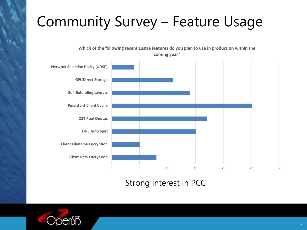#### Community Survey – Feature Usage

**Which of the following recent Lustre features do you plan to use in production within the coming year?**



#### Strong interest in PCC

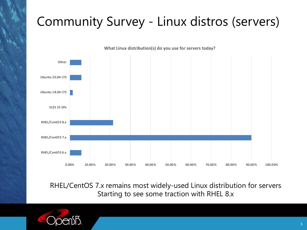#### Community Survey - Linux distros (servers)



RHEL/CentOS 7.x remains most widely-used Linux distribution for servers Starting to see some traction with RHEL 8.x

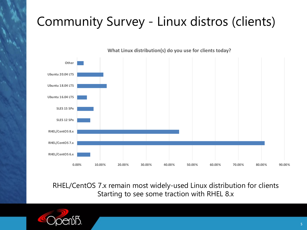#### Community Survey - Linux distros (clients)



**What Linux distribution(s) do you use for clients today?**

RHEL/CentOS 7.x remain most widely-used Linux distribution for clients Starting to see some traction with RHEL 8.x

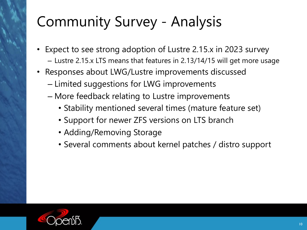# Community Survey - Analysis

- Expect to see strong adoption of Lustre 2.15.x in 2023 survey
	- Lustre 2.15.x LTS means that features in 2.13/14/15 will get more usage
- Responses about LWG/Lustre improvements discussed
	- Limited suggestions for LWG improvements
	- More feedback relating to Lustre improvements
		- Stability mentioned several times (mature feature set)
		- Support for newer ZFS versions on LTS branch
		- Adding/Removing Storage
		- Several comments about kernel patches / distro support

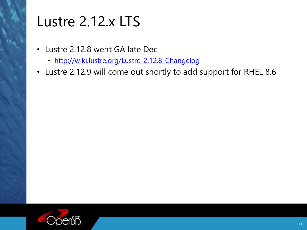#### Lustre 2.12.x LTS

- [Lustre 2.12.8 went GA late Dec](http://wiki.lustre.org/Lustre_2.12.8_Changelog)
	- http://wiki.lustre.org/Lustre\_2.12.8\_Changelog
- Lustre 2.12.9 will come out shortly to

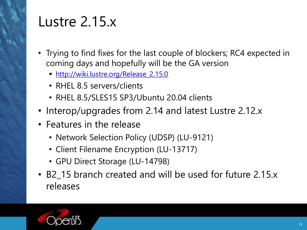

#### Lustre 2.15.x

- Trying to find fixes for the last couple [coming days and hopefully will be](http://wiki.lustre.org/Release_2.15.0) the
	- § http://wiki.lustre.org/Release\_2.15.0
	- RHEL 8.5 servers/clients
	- RHEL 8.5/SLES15 SP3/Ubuntu 20.04
- Interop/upgrades from 2.14 and
- Features in the release
	- Network Selection Policy (UDSP) (L
	- Client Filename Encryption (LU-137
	- GPU Direct Storage (LU-14798)
- B2\_15 branch created and will be releases

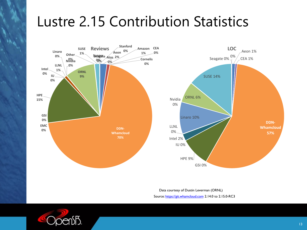## Lustre 2.15 Contribution



Data courtesy of Source: https://git.wh

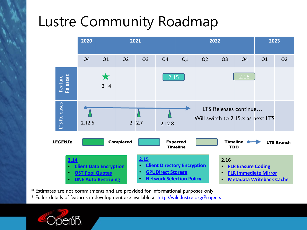# Lustre Community Road



\* Estimates are not commitments and are provided for informational \* Fuller details of features in development are available at http://wiki.lu

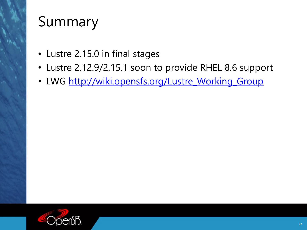

#### Summary

- Lustre 2.15.0 in final stages
- $\cdot$  Lustre 2.12.9/2.15.1 soon to prov
- LWG http://wiki.opensfs.org/Lust